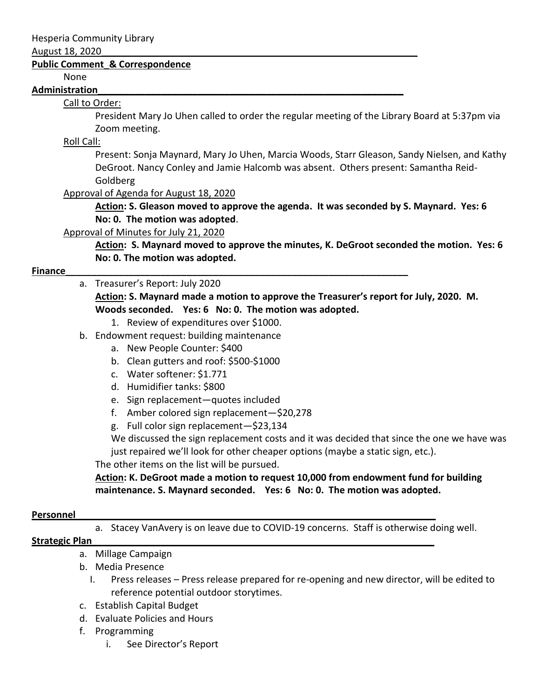#### August 18, 2020\_\_\_\_\_\_\_\_\_\_\_\_\_\_\_\_\_\_\_\_\_\_\_\_\_\_\_\_\_\_\_\_\_\_\_\_\_\_\_\_\_\_\_\_\_\_\_\_\_\_\_\_\_\_\_\_\_\_\_\_

#### **Public Comment\_& Correspondence**

None

#### **Administration\_\_\_\_\_\_\_\_\_\_\_\_\_\_\_\_\_\_\_\_\_\_\_\_\_\_\_\_\_\_\_\_\_\_\_\_\_\_\_\_\_\_\_\_\_\_\_\_\_\_\_\_\_\_\_\_\_\_**

# Call to Order:

President Mary Jo Uhen called to order the regular meeting of the Library Board at 5:37pm via Zoom meeting.

# Roll Call:

Present: Sonja Maynard, Mary Jo Uhen, Marcia Woods, Starr Gleason, Sandy Nielsen, and Kathy DeGroot. Nancy Conley and Jamie Halcomb was absent. Others present: Samantha Reid-Goldberg

### Approval of Agenda for August 18, 2020

**Action: S. Gleason moved to approve the agenda. It was seconded by S. Maynard. Yes: 6 No: 0. The motion was adopted**.

### Approval of Minutes for July 21, 2020

**Action: S. Maynard moved to approve the minutes, K. DeGroot seconded the motion. Yes: 6 No: 0. The motion was adopted.**

# **Finance Example 20 and 20 and 20 and 20 and 20 and 20 and 20 and 20 and 20 and 20 and 20 and 20 and 20 and 20 and 20 and 20 and 20 and 20 and 20 and 20 and 20 and 20 and 20 and 20 and 20 and 20 and 20 and 20 and 20 and**

a. Treasurer's Report: July 2020

**Action: S. Maynard made a motion to approve the Treasurer's report for July, 2020. M. Woods seconded. Yes: 6 No: 0. The motion was adopted.**

- 1. Review of expenditures over \$1000.
- b. Endowment request: building maintenance
	- a. New People Counter: \$400
	- b. Clean gutters and roof: \$500-\$1000
	- c. Water softener: \$1.771
	- d. Humidifier tanks: \$800
	- e. Sign replacement—quotes included
	- f. Amber colored sign replacement—\$20,278
	- g. Full color sign replacement—\$23,134

We discussed the sign replacement costs and it was decided that since the one we have was just repaired we'll look for other cheaper options (maybe a static sign, etc.).

### The other items on the list will be pursued.

**Action: K. DeGroot made a motion to request 10,000 from endowment fund for building maintenance. S. Maynard seconded. Yes: 6 No: 0. The motion was adopted.**

#### **Personnel**

a. Stacey VanAvery is on leave due to COVID-19 concerns. Staff is otherwise doing well.

### **Strategic Plan\_\_\_\_\_\_\_\_\_\_\_\_\_\_\_\_\_\_\_\_\_\_\_\_\_\_\_\_\_\_\_\_\_\_\_\_\_\_\_\_\_\_\_\_\_\_\_\_\_\_\_\_\_\_\_\_\_\_\_\_\_\_\_\_\_**

- a. Millage Campaign
- b. Media Presence
	- I. Press releases Press release prepared for re-opening and new director, will be edited to reference potential outdoor storytimes.
- c. Establish Capital Budget
- d. Evaluate Policies and Hours
- f. Programming
	- i. See Director's Report